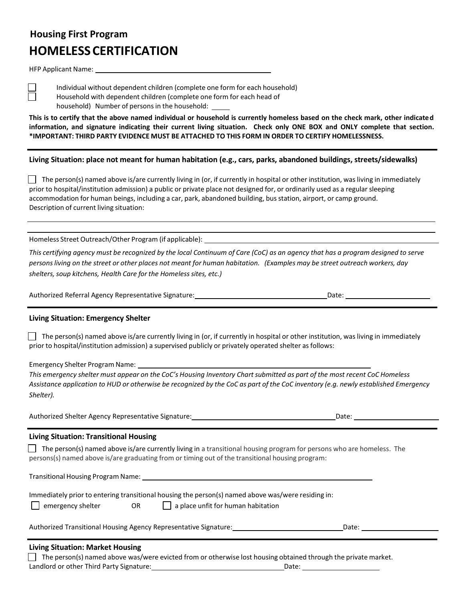# **Housing First Program HOMELESSCERTIFICATION**

HFP Applicant Name:

n

Individual without dependent children (complete one form for each household) Household with dependent children (complete one form for each head of household) Number of persons in the household:

This is to certify that the above named individual or household is currently homeless based on the check mark, other indicated information, and signature indicating their current living situation. Check only ONE BOX and ONLY complete that section. **\*IMPORTANT: THIRD PARTY EVIDENCE MUST BE ATTACHED TO THIS FORM IN ORDER TO CERTIFY HOMELESSNESS.**

**Living Situation: place not meant for human habitation (e.g., cars, parks, abandoned buildings, streets/sidewalks)**

 $\Box$  The person(s) named above is/are currently living in (or, if currently in hospital or other institution, was living in immediately prior to hospital/institution admission) a public or private place not designed for, or ordinarily used as a regular sleeping accommodation for human beings, including a car, park, abandoned building, busstation, airport, or camp ground. Description of current living situation:

Homeless Street Outreach/Other Program (if applicable):

This certifying agency must be recognized by the local Continuum of Care (CoC) as an agency that has a program designed to serve persons living on the street or other places not meant for human habitation. (Examples may be street outreach workers, day *shelters, soup kitchens, Health Care for the Homelesssites, etc.)*

| Authorized Referral Agency Representative Signature: | Date: |  |
|------------------------------------------------------|-------|--|
|                                                      |       |  |

#### **Living Situation: Emergency Shelter**

 $\vert\;\;\vert$  The person(s) named above is/are currently living in (or, if currently in hospital or other institution, was living in immediately prior to hospital/institution admission) a supervised publicly or privately operated shelter asfollows:

Emergency Shelter Program Name:

This emergency shelter must appear on the CoC's Housing Inventory Chart submitted as part of the most recent CoC Homeless Assistance application to HUD or otherwise be recognized by the CoC as part of the CoC inventory (e.g. newly established Emergency *Shelter).*

Authorized Shelter Agency Representative Signature: 1988 1988 1988 1988 1988 1988 2016: 2016: 2016

#### **Living Situation: Transitional Housing**

The person(s) named above is/are currently living in a transitional housing program for persons who are homeless. The persons(s) named above is/are graduating from or timing out of the transitional housing program:

Transitional Housing Program Name:

| emergency shelter | OR |  |
|-------------------|----|--|
|-------------------|----|--|

 $\Box$  a place unfit for human habitation

| Authorized Transitional Housing Agency Representative Signature: | Date: |
|------------------------------------------------------------------|-------|
|                                                                  |       |

#### **Living Situation: Market Housing**

The person(s) named above was/were evicted from or otherwise lost housing obtained through the private market. Landlord or other Third Party Signature: Date: Date: Date: Date: Date: Date: Date: Date: Date: Date: Date: Date: Date: Date: Date: Date: Date: Date: Date: Date: Date: Date: Date: Date: Date: Date: Date: Date: Date: Date: D